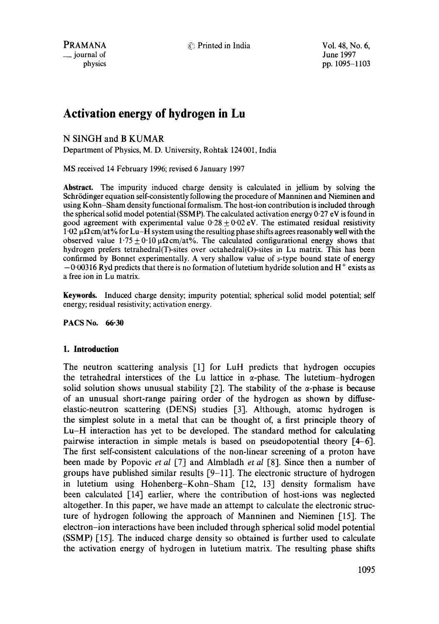**PRAMANA**  $\odot$  Printed in India Vol. 48, No. 6,

# **Activation energy of hydrogen in Lu**

# N StNGH and B KUMAR

Department of Physics, M. D. University, Rohtak 124001, India

MS received 14 February 1996; revised 6 January 1997

**Abstract.** The impurity induced charge density is calculated in jellium by solving the Schrödinger equation self-consistently following the procedure of Manninen and Nieminen and using Kohn-Sham density functional formalism. The host-ion contribution is included through the spherical solid model potential (SSMP). The calculated activation energy 0.27 eV is found in good agreement with experimental value  $0.28 \pm 0.02$  eV. The estimated residual resistivity  $1.02 \mu \Omega$  cm/at% for Lu-H system using the resulting phase shifts agrees reasonably well with the observed value  $1.75 \pm 0.10 \,\mu\Omega$  cm/at%. The calculated configurational energy shows that hydrogen prefers tetrahedral(T)-sites over octahedral(O)-sites in Lu matrix. This has been confirmed by Bonnet experimentally. A very shallow value of s-type bound state of energy  $-0.00316$  Ryd predicts that there is no formation of lutetium hydride solution and H<sup>+</sup> exists as a free ion in Lu matrix.

**Keywords.** Induced charge density; impurity potential; spherical solid model potential; self energy; residual resistivity; activation energy.

**PACS No. 66"30** 

# **1. Introduction**

The neutron scattering analysis [1] for LuH predicts that hydrogen occupies the tetrahedral interstices of the Lu lattice in  $\alpha$ -phase. The lutetium-hydrogen solid solution shows unusual stability  $[2]$ . The stability of the  $\alpha$ -phase is because of an unusual short-range pairing order of the hydrogen as shown by diffuseelastic-neutron scattering (DENS) studies [3]. Although, atomic hydrogen is the simplest solute in a metal that can be thought of, a first principle theory of Lu-H interaction has yet to be developed. The standard method for calculating pairwise interaction in simple metals is based on pseudopotential theory [4-6]. The first self-consistent calculations of the non-linear screening of a proton have been made by Popovic *et al* [7] and Almbladh *et al* [8]. Since then a number of groups have published similar results [9-11]. The electronic structure of hydrogen in lutetium using Hohenberg-Kohn-Sham [12, 13] density formalism have been calculated [14] earlier, where the contribution of host-ions was neglected altogether. In this paper, we have made an attempt to calculate the electronic structure of hydrogen following the approach of Manninen and Nieminen [15]. The electron-ion interactions have been included through spherical solid model potential (SSMP) [15]. The induced charge density so obtained is further used to calculate the activation energy of hydrogen in lutetium matrix. The resulting phase shifts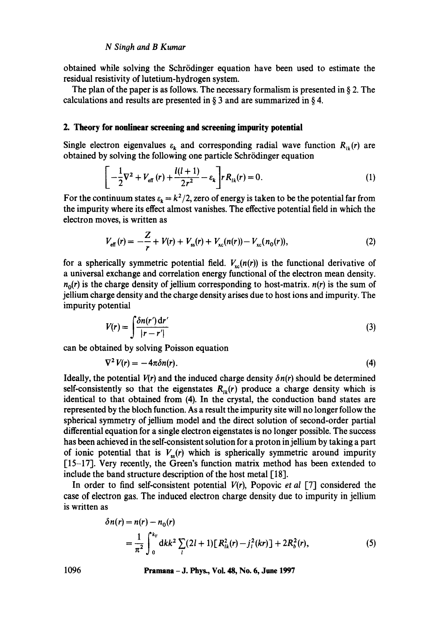#### *N Singh and B Kumar*

obtained while solving the Schrödinger equation have been used to estimate the residual resistivity of lutetium-hydrogen system.

The plan of the paper is as follows. The necessary formalism is presented in  $\S$  2. The calculations and results are presented in § 3 and are summarized in § 4.

#### **2. Theory for nonlinear screening and screening impurity potential**

Single electron eigenvalues  $\varepsilon_k$  and corresponding radial wave function  $R_k(r)$  are obtained by solving the following one particle Schrödinger equation

$$
\left[ -\frac{1}{2} \nabla^2 + V_{\text{eff}}(r) + \frac{l(l+1)}{2r^2} - \varepsilon_k \right] r R_{lk}(r) = 0. \tag{1}
$$

For the continuum states  $\varepsilon_k = k^2/2$ , zero of energy is taken to be the potential far from the impurity where its effect almost vanishes. The effective potential field in which the electron moves, is written as

$$
V_{\text{eff}}(r) = -\frac{Z}{r} + V(r) + V_{\text{ss}}(r) + V_{\text{xc}}(n(r)) - V_{\text{xc}}(n_0(r)),
$$
\n(2)

for a spherically symmetric potential field.  $V_{xc}(n(r))$  is the functional derivative of a universal exchange and correlation energy functional of the electron mean density.  $n_0(r)$  is the charge density of jellium corresponding to host-matrix,  $n(r)$  is the sum of jellium charge density and the charge density arises due to host ions and impurity. The impurity potential

$$
V(r) = \int \frac{\delta n(r') dr'}{|r - r'|} \tag{3}
$$

can be obtained by solving Poisson equation

$$
\nabla^2 V(r) = -4\pi \delta n(r). \tag{4}
$$

Ideally, the potential  $V(r)$  and the induced charge density  $\delta n(r)$  should be determined self-consistently so that the eigenstates  $R_{ik}(r)$  produce a charge density which is identical to that obtained from (4). In the crystal, the conduction band states are represented by the bloch function. As a result the impurity site will no longer follow the spherical symmetry of jellium model and the direct solution of second-order partial differential equation for a single electron eigenstates is no longer possible. The success has been achieved in the self-consistent solution for a proton in jellium by taking a part of ionic potential that is  $V_{\rm ss}(r)$  which is spherically symmetric around impurity [15-17]. Very recently, the Green's function matrix method has been extended to include the band structure description of the host metal [18].

In order to find self-consistent potential *V(r),* Popovic *et al* [7] considered the case of electron gas. The induced electron charge density due to impurity in jellium is written as

$$
\delta n(r) = n(r) - n_0(r)
$$
  
=  $\frac{1}{\pi^2} \int_0^{k_F} dk k^2 \sum_l (2l+1) [R_{lk}^2(r) - j_l^2(kr)] + 2R_b^2(r)$ , (5)

**1096 Pramana - J. Phys., Vol. 48, No. 6, June 1997**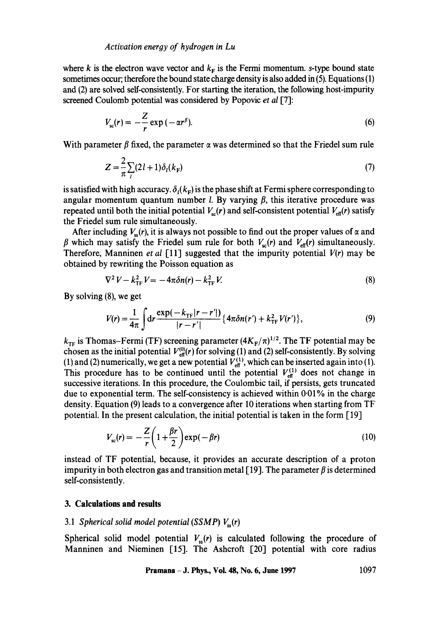where k is the electron wave vector and  $k_F$  is the Fermi momentum, s-type bound state sometimes occur; therefore the bound state charge density is also added in (5). Equations (1) and (2) are solved self-consistently. For starting the iteration, the following host-impurity screened Coulomb potential was considered by Popovic *et al* [7]:

$$
V_{sc}(r) = -\frac{Z}{r} \exp(-\alpha r^{\beta}).
$$
\n(6)

With parameter  $\beta$  fixed, the parameter  $\alpha$  was determined so that the Friedel sum rule

$$
Z = \frac{2}{\pi} \sum_{l} (2l+1) \delta_l(k_{\rm F})
$$
\n(7)

is satisfied with high accuracy.  $\delta_i(k_F)$  is the phase shift at Fermi sphere corresponding to angular momentum quantum number *l*. By varying  $\beta$ , this iterative procedure was repeated until both the initial potential  $V_{\rm cr}(r)$  and self-consistent potential  $V_{\rm erf}(r)$  satisfy the Friedel sum rule simultaneously.

After including  $V_{\alpha}(r)$ , it is always not possible to find out the proper values of  $\alpha$  and  $\beta$  which may satisfy the Friedel sum rule for both  $V_{sc}(r)$  and  $V_{eff}(r)$  simultaneously. Therefore, Manninen *et al* [11] suggested that the impurity potential *V(r)* may be obtained by rewriting the Poisson equation as

$$
\nabla^2 V - k_{\text{TF}}^2 V = -4\pi \delta n(r) - k_{\text{TF}}^2 V. \tag{8}
$$

By solving (8), we get

$$
V(r) = \frac{1}{4\pi} \int dr \frac{\exp(-k_{\text{TF}}|r - r'|)}{|r - r'|} \{4\pi \delta n(r') + k_{\text{TF}}^2 V(r')\},\tag{9}
$$

 $k_{\text{TF}}$  is Thomas-Fermi (TF) screening parameter  $(4K_{\text{F}}/\pi)^{1/2}$ . The TF potential may be chosen as the initial potential  $V_{\text{eff}}^{(0)}(r)$  for solving (1) and (2) self-consistently. By solving (1) and (2) numerically, we get a new potential  $V_{\text{eff}}^{(1)}$ , which can be inserted again into (1). This procedure has to be continued until the potential  $V_{\text{eff}}^{(1)}$  does not change in successive iterations. In this procedure, the Coulombic tail, if persists, gets truncated due to exponential term. The self-consistency is achieved within  $0.01\%$  in the charge density. Equation (9) leads to a convergence after 10 iterations when starting from TF potential. In the present calculation, the initial potential is taken in the form [19]

$$
V_{sc}(r) = -\frac{Z}{r} \left( 1 + \frac{\beta r}{2} \right) \exp(-\beta r) \tag{10}
$$

instead of TF potential, because, it provides an accurate description of a proton impurity in both electron gas and transition metal [19]. The parameter  $\beta$  is determined self-consistently.

#### **3. Calculations and results**

#### 3.1 *Spherical solid model potential* (SSMP)  $V_{ss}(r)$

Spherical solid model potential  $V_{ss}(r)$  is calculated following the procedure of Manninen and Nieminen [15]. The Ashcroft [20] potential with core radius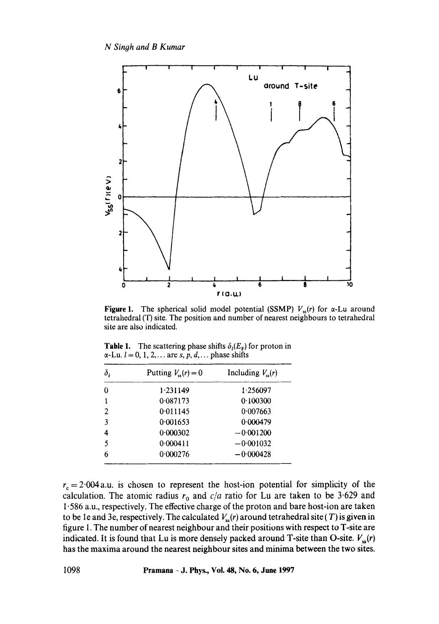

**Figure 1.** The spherical solid model potential (SSMP)  $V_{ss}(r)$  for  $\alpha$ -Lu around tetrahedral (T) site. The position and number of nearest neighbours to tetrahedral site are also indicated.

**Table 1.** The scattering phase shifts  $\delta_l(E_F)$  for proton in  $\alpha$ -Lu.  $l = 0, 1, 2, \ldots$  are s, p, d, ... phase shifts

| $\delta_{\scriptscriptstyle{I}}$ | Putting $V_{ss}(r) = 0$ | Including $V_{ss}(r)$ |
|----------------------------------|-------------------------|-----------------------|
| 0                                | 1.231149                | 1 256097              |
|                                  | 0.087173                | 0.100300              |
| $\mathbf{2}$                     | 0.011145                | 0.007663              |
| 3                                | 0.001653                | 0.000479              |
| 4                                | 0.000302                | $-0.001200$           |
| 5                                | 0.000411                | $-0.001032$           |
| 6                                | 0.000276                | $-0.000428$           |

 $r_c = 2.004$  a.u. is chosen to represent the host-ion potential for simplicity of the calculation. The atomic radius  $r_0$  and  $c/a$  ratio for Lu are taken to be 3.629 and 1.586 a.u., respectively. The effective charge of the proton and bare host-ion are taken to be 1e and 3e, respectively. The calculated  $V_{\rm ss}(r)$  around tetrahedral site (T) is given in figure 1. The number of nearest neighbour and their positions with respect to T-site are indicated. It is found that Lu is more densely packed around T-site than O-site.  $V_{\rm ss}(r)$ has the maxima around the nearest neighbour sites and minima between the two sites.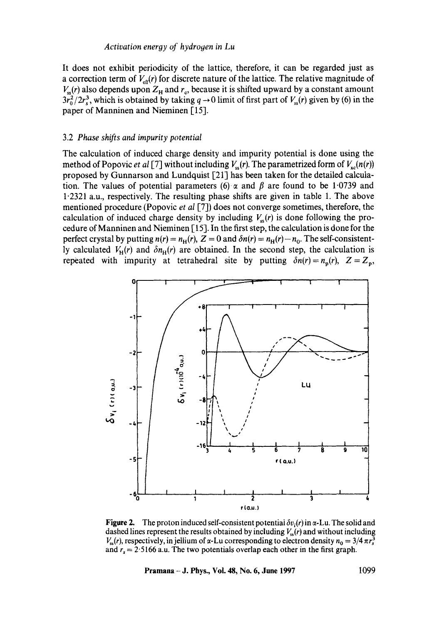It does not exhibit periodicity of the lattice, therefore, it can be regarded just as a correction term of  $V_{\text{eff}}(r)$  for discrete nature of the lattice. The relative magnitude of  $V_{\rm ss}(r)$  also depends upon  $Z_{\rm H}$  and  $r_{\rm c}$ , because it is shifted upward by a constant amount  $3r_0^2/2r_s^3$ , which is obtained by taking  $q \to 0$  limit of first part of  $V_{ss}(r)$  given by (6) in the paper of Manninen and Nieminen [15].

#### 3.2 *Phase shifts and impurity potential*

The calculation of induced charge density and impurity potential is done using the method of Popovic *et al* [7] without including  $V_{\rm sc}(r)$ . The parametrized form of  $V_{\rm sc}(n(r))$ proposed by Gunnarson and Lundquist [21] has been taken for the detailed calculation. The values of potential parameters (6)  $\alpha$  and  $\beta$  are found to be 1.0739 and 1"2321 a.u., respectively. The resulting phase shifts are given in table 1. The above mentioned procedure (Popovic *et al* [7]) does not converge sometimes, therefore, the calculation of induced charge density by including  $V_{\rm ss}(r)$  is done following the procedure of Manninen and Nieminen [ 15]. In the first step, the calculation is done for the perfect crystal by putting  $n(r) = n_H(r)$ ,  $Z = 0$  and  $\delta n(r) = n_H(r) - n_0$ . The self-consistently calculated  $V_H(r)$  and  $\delta n_H(r)$  are obtained. In the second step, the calculation is repeated with impurity at tetrahedral site by putting  $\delta n(r) = n_p(r)$ ,  $Z = Z_p$ ,



**Figure 2.** The proton induced self-consistent potential  $\delta v_i(r)$  in  $\alpha$ -Lu. The solid and dashed lines represent the results obtained by including  $V_{ss}(r)$  and without including  $V_{ss}(r)$ , respectively, in jellium of  $\alpha$ -Lu corresponding to electron density  $n_0 = 3/4 \pi r_s^3$ and  $r_s = 2.5166$  a.u. The two potentials overlap each other in the first graph.

**Pramana - J. Phys., Vol. 48, No. 6, June 1997 1099**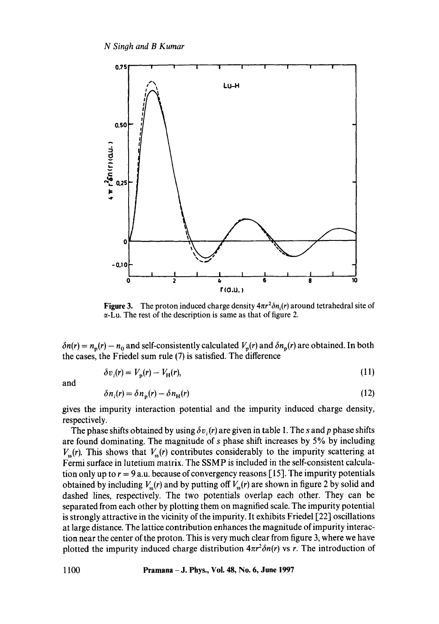

**Figure 3.** The proton induced charge density  $4\pi r^2 \delta n_i(r)$  around tetrahedral site of  $\alpha$ -Lu. The rest of the description is same as that of figure 2.

 $\delta n(r) = n_p(r) - n_0$  and self-consistently calculated  $V_p(r)$  and  $\delta n_p(r)$  are obtained. In both the cases, the Friedel sum rule (7) is satisfied. The difference

$$
\delta v_i(\mathbf{r}) = V_{\mathbf{n}}(\mathbf{r}) - V_{\mathbf{H}}(\mathbf{r}),\tag{11}
$$

and

$$
\delta n_i(r) = \delta n_{\rm p}(r) - \delta n_{\rm H}(r) \tag{12}
$$

gives the impurity interaction potential and the impurity induced charge density, respectively.

The phase shifts obtained by using  $\delta v_i(r)$  are given in table 1. The s and p phase shifts are found dominating. The magnitude of  $s$  phase shift increases by 5% by including  $V_{ss}(r)$ . This shows that  $V_{ss}(r)$  contributes considerably to the impurity scattering at Fermi surface in lutetium matrix. The SSMP is included in the self-consistent calculation only up to  $r = 9$  a.u. because of convergency reasons [15]. The impurity potentials obtained by including  $V_{\rm ss}(r)$  and by putting off  $V_{\rm ss}(r)$  are shown in figure 2 by solid and dashed lines, respectively. The two potentials overlap each other. They can be separated from each other by plotting them on magnified scale. The impurity potential is strongly attractive in the vicinity of the impurity. It exhibits Friedel [22] oscillations at large distance. The lattice contribution enhances the magnitude of impurity interaction near the center of the proton. This is very much clear from figure 3, where we have plotted the impurity induced charge distribution  $4\pi r^2 \delta n(r)$  vs r. The introduction of

1100 Pramana - J. Phys., Vol. 48, No. 6, June 1997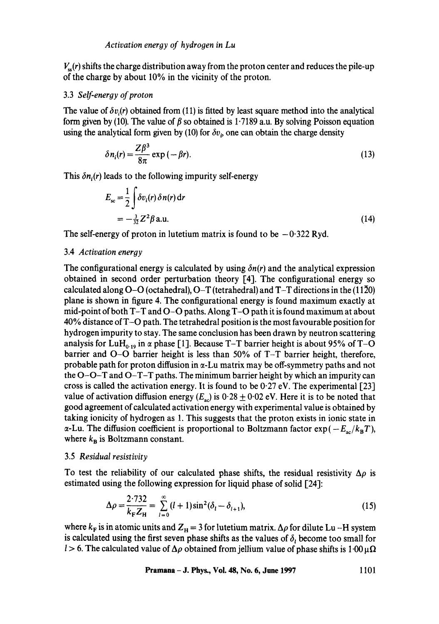*V~(r)* shifts the charge distribution away from the proton center and reduces the pile-up of the charge by about 10% in the vicinity of the proton.

# 3.3 *Self-eneroy of proton*

The value of  $\delta v_i(r)$  obtained from (11) is fitted by least square method into the analytical form given by (10). The value of  $\beta$  so obtained is 1.7189 a.u. By solving Poisson equation using the analytical form given by (10) for  $\delta v_i$ , one can obtain the charge density

$$
\delta n_i(r) = \frac{Z\beta^3}{8\pi} \exp\left(-\beta r\right). \tag{13}
$$

This  $\delta n_i(r)$  leads to the following impurity self-energy

$$
E_{\rm sc} = \frac{1}{2} \int \delta v_i(r) \, \delta n(r) \, \mathrm{d}r
$$
\n
$$
= -\frac{3}{32} Z^2 \beta \, \mathrm{a.u.} \tag{14}
$$

The self-energy of proton in lutetium matrix is found to be  $-0.322$  Ryd.

#### 3.4 *Activation energy*

The configurational energy is calculated by using  $\delta n(r)$  and the analytical expression obtained in second order perturbation theory [4]. The configurational energy so calculated along  $O-O$  (octahedral),  $O-T$  (tetrahedral) and  $T-T$  directions in the (1120) plane is shown in figure 4. The configurational energy is found maximum exactly at mid-point of both T-T and O-O paths. Along T-O path it is found maximum at about 40% distance of T-O path. The tetrahedral position is the most favourable position for hydrogen impurity to stay. The same conclusion has been drawn by neutron scattering analysis for LuH<sub>0.19</sub> in  $\alpha$  phase [1]. Because T-T barrier height is about 95% of T-O barrier and O-O barrier height is less than 50% of T-T barrier height, therefore, probable path for proton diffusion in  $\alpha$ -Lu matrix may be off-symmetry paths and not the O-O-T and O-T-T paths. The minimum barrier height by which an impurity can cross is called the activation energy. It is found to be  $0.27$  eV. The experimental [23] value of activation diffusion energy  $(E_{ac})$  is 0.28  $\pm$  0.02 eV. Here it is to be noted that good agreement of calculated activation energy with experimental value is obtained by taking ionicity of hydrogen as 1. This suggests that the proton exists in ionic state in  $\alpha$ -Lu. The diffusion coefficient is proportional to Boltzmann factor  $\exp(-E_{ac}/k_BT)$ , where  $k_{\rm B}$  is Boltzmann constant.

# 3.5 *Residual resistivity*

To test the reliability of our calculated phase shifts, the residual resistivity  $\Delta \rho$  is estimated using the following expression for liquid phase of solid [24]:

$$
\Delta \rho = \frac{2.732}{k_{\rm F} Z_{\rm H}} = \sum_{l=0}^{\infty} (l+1) \sin^2(\delta_l - \delta_{l+1}),
$$
\n(15)

where  $k_F$  is in atomic units and  $Z_H = 3$  for lutetium matrix.  $\Delta \rho$  for dilute Lu -H system is calculated using the first seven phase shifts as the values of  $\delta_{l}$  become too small for l > 6. The calculated value of  $\Delta \rho$  obtained from jellium value of phase shifts is 1.00  $\mu\Omega$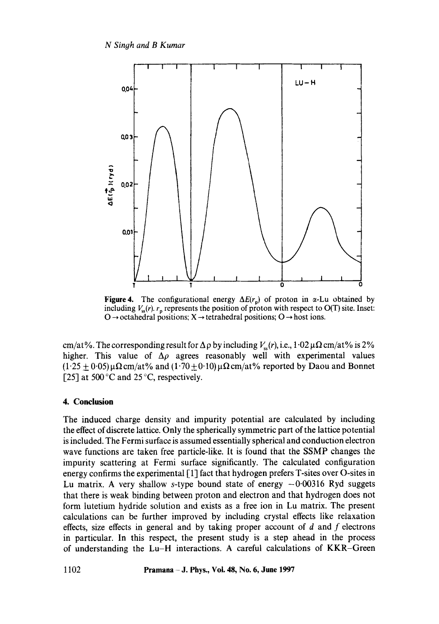

**Figure 4.** The configurational energy  $\Delta E(r_p)$  of proton in  $\alpha$ -Lu obtained by including  $V_{ss}(r)$ .  $r_p$  represents the position of proton with respect to O(T) site. Inset:  $O \rightarrow$  octahedral positions;  $X \rightarrow$  tetrahedral positions;  $O \rightarrow$  host ions.

cm/at%. The corresponding result for  $\Delta \rho$  by including  $V_{\rm ss}(r)$ , i.e., 1.02  $\mu\Omega$  cm/at% is 2% higher. This value of  $\Delta \rho$  agrees reasonably well with experimental values  $(1.25 \pm 0.05) \mu \Omega$  cm/at% and  $(1.70 \pm 0.10) \mu \Omega$  cm/at% reported by Daou and Bonnet [25] at 500 °C and 25 °C, respectively.

# **4. Conclusion**

The induced charge density and impurity potential are calculated by including the effect of discrete lattice. Only the spherically symmetric part of the lattice potential is included. The Fermi surface is assumed essentially spherical and conduction electron wave functions are taken free particle-like. It is found that the SSMP changes the impurity scattering at Fermi surface significantly. The calculated configuration energy confirms the experimental [ 1] fact that hydrogen prefers T-sites over O-sites in Lu matrix. A very shallow s-type bound state of energy  $-0.00316$  Ryd suggets that there is weak binding between proton and electron and that hydrogen does not form lutetium hydride solution and exists as a free ion in Lu matrix. The present calculations can be further improved by including crystal effects like relaxation effects, size effects in general and by taking proper account of  $d$  and  $f$  electrons in particular. In this respect, the present study is a step ahead in the process of understanding the Lu-H interactions. A careful calculations of KKR-Green